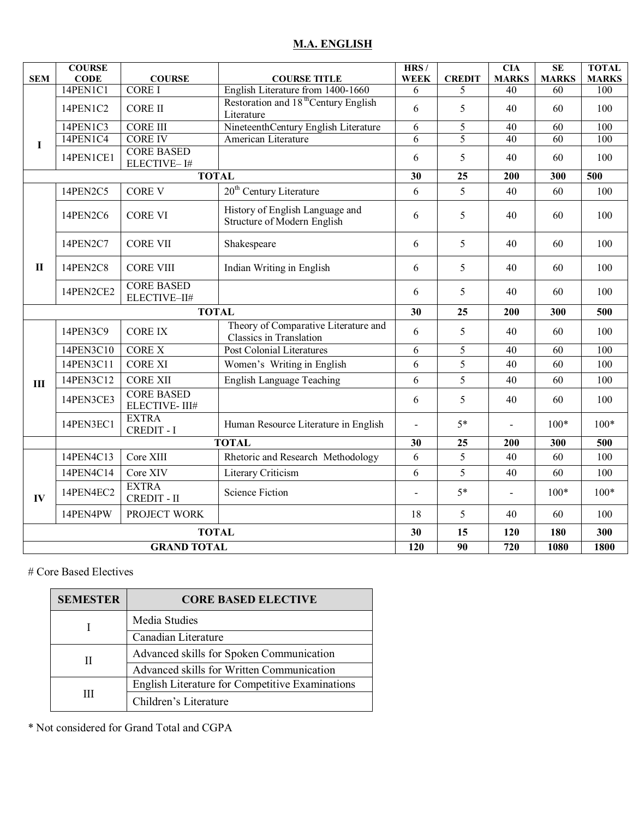# **M.A. ENGLISH**

| <b>SEM</b>     | <b>COURSE</b><br><b>CODE</b> | <b>COURSE</b>                      | <b>COURSE TITLE</b>                                                    | HRS/<br><b>WEEK</b> | <b>CREDIT</b>  | <b>CIA</b><br><b>MARKS</b> | SE<br><b>MARKS</b> | <b>TOTAL</b><br><b>MARKS</b> |
|----------------|------------------------------|------------------------------------|------------------------------------------------------------------------|---------------------|----------------|----------------------------|--------------------|------------------------------|
|                | 14PEN1C1                     | <b>CORE I</b>                      | English Literature from 1400-1660                                      | 6                   | 5              | 40                         | 60                 | 100                          |
|                | 14PEN1C2                     | <b>CORE II</b>                     | Restoration and 18 <sup>th</sup> Century English<br>Literature         | 6                   | 5              | 40                         | 60                 | 100                          |
|                | 14PEN1C3                     | <b>CORE III</b>                    | NineteenthCentury English Literature                                   | 6                   | 5              | 40                         | 60                 | 100                          |
| I              | 14PEN1C4                     | <b>CORE IV</b>                     | American Literature                                                    | 6                   | $\overline{5}$ | 40                         | $\overline{60}$    | $\overline{100}$             |
|                | 14PEN1CE1                    | <b>CORE BASED</b><br>ELECTIVE-I#   |                                                                        | 6                   | 5              | 40                         | 60                 | 100                          |
|                |                              | <b>TOTAL</b>                       | 30                                                                     | 25                  | 200            | 300                        | 500                |                              |
|                | 14PEN2C5                     | <b>CORE V</b>                      | 20 <sup>th</sup> Century Literature                                    | 6                   | 5              | 40                         | 60                 | 100                          |
|                | 14PEN2C6                     | <b>CORE VI</b>                     | History of English Language and<br>Structure of Modern English         | 6                   | 5              | 40                         | 60                 | 100                          |
|                | 14PEN2C7                     | <b>CORE VII</b>                    | Shakespeare                                                            | 6                   | 5              | 40                         | 60                 | 100                          |
| $\mathbf H$    | 14PEN2C8                     | <b>CORE VIII</b>                   | Indian Writing in English                                              | 6                   | 5              | 40                         | 60                 | 100                          |
|                | 14PEN2CE2                    | <b>CORE BASED</b><br>ELECTIVE-II#  |                                                                        | 6                   | 5              | 40                         | 60                 | 100                          |
|                |                              | <b>TOTAL</b>                       | 30                                                                     | 25                  | 200            | 300                        | 500                |                              |
|                | 14PEN3C9                     | <b>CORE IX</b>                     | Theory of Comparative Literature and<br><b>Classics in Translation</b> | 6                   | 5              | 40                         | 60                 | 100                          |
|                | 14PEN3C10                    | <b>CORE X</b>                      | <b>Post Colonial Literatures</b>                                       | 6                   | 5              | 40                         | 60                 | 100                          |
|                | 14PEN3C11                    | <b>CORE XI</b>                     | Women's Writing in English                                             | 6                   | 5              | 40                         | 60                 | 100                          |
| $\mathbf{III}$ | 14PEN3C12                    | <b>CORE XII</b>                    | <b>English Language Teaching</b>                                       | 6                   | 5              | 40                         | 60                 | 100                          |
|                | 14PEN3CE3                    | <b>CORE BASED</b><br>ELECTIVE-III# |                                                                        | 6                   | 5              | 40                         | 60                 | 100                          |
|                | 14PEN3EC1                    | <b>EXTRA</b><br><b>CREDIT - I</b>  | Human Resource Literature in English                                   | L.                  | $5*$           |                            | $100*$             | $100*$                       |
|                |                              |                                    | <b>TOTAL</b>                                                           | 30                  | 25             | 200                        | 300                | 500                          |
|                | 14PEN4C13                    | Core XIII                          | Rhetoric and Research Methodology                                      | 6                   | 5              | 40                         | 60                 | 100                          |
|                | 14PEN4C14                    | Core XIV                           | Literary Criticism                                                     | 6                   | 5              | 40                         | 60                 | 100                          |
| IV             | 14PEN4EC2                    | <b>EXTRA</b><br><b>CREDIT - II</b> | <b>Science Fiction</b>                                                 |                     | $5*$           | $\blacksquare$             | $100*$             | $100*$                       |
|                | 14PEN4PW                     | PROJECT WORK                       |                                                                        | 18                  | 5              | 40                         | 60                 | 100                          |
| <b>TOTAL</b>   |                              |                                    |                                                                        |                     | 15             | 120                        | 180                | 300                          |
|                |                              | <b>GRAND TOTAL</b>                 | 120                                                                    | 90                  | 720            | 1080                       | 1800               |                              |

# Core Based Electives

| <b>SEMESTER</b> | <b>CORE BASED ELECTIVE</b>                             |
|-----------------|--------------------------------------------------------|
|                 | Media Studies                                          |
|                 | Canadian Literature                                    |
|                 | Advanced skills for Spoken Communication               |
|                 | Advanced skills for Written Communication              |
|                 | <b>English Literature for Competitive Examinations</b> |
| Ш               | Children's Literature                                  |

\* Not considered for Grand Total and CGPA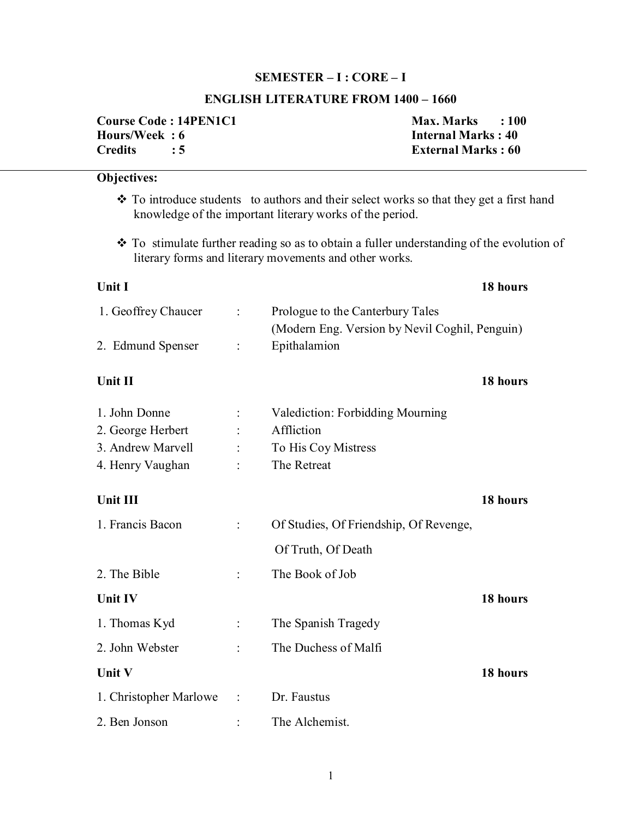# **SEMESTER – I : CORE – I**

# **ENGLISH LITERATURE FROM 1400 – 1660**

| <b>Course Code: 14PEN1C1</b> | <b>Max. Marks</b>         | $\cdot$ : 100 |
|------------------------------|---------------------------|---------------|
| Hours/Week: 6                | <b>Internal Marks: 40</b> |               |
| <b>Credits</b>               | <b>External Marks: 60</b> |               |

# **Objectives:**

- \* To introduce students to authors and their select works so that they get a first hand knowledge of the important literary works of the period.
- To stimulate further reading so as to obtain a fuller understanding of the evolution of literary forms and literary movements and other works.

|                            |                                         | 18 hours                                       |
|----------------------------|-----------------------------------------|------------------------------------------------|
| $\mathcal{L}^{\text{max}}$ | Prologue to the Canterbury Tales        |                                                |
| $\overline{\phantom{a}}$   | Epithalamion                            |                                                |
|                            |                                         | 18 hours                                       |
|                            | <b>Valediction: Forbidding Mourning</b> |                                                |
|                            | Affliction                              |                                                |
|                            | To His Coy Mistress                     |                                                |
|                            | The Retreat                             |                                                |
|                            |                                         | 18 hours                                       |
|                            | Of Studies, Of Friendship, Of Revenge,  |                                                |
|                            | Of Truth, Of Death                      |                                                |
|                            | The Book of Job                         |                                                |
|                            |                                         | 18 hours                                       |
|                            | The Spanish Tragedy                     |                                                |
|                            | The Duchess of Malfi                    |                                                |
|                            |                                         | 18 hours                                       |
| $\ddot{\cdot}$             | Dr. Faustus                             |                                                |
|                            | The Alchemist.                          |                                                |
|                            |                                         | (Modern Eng. Version by Nevil Coghil, Penguin) |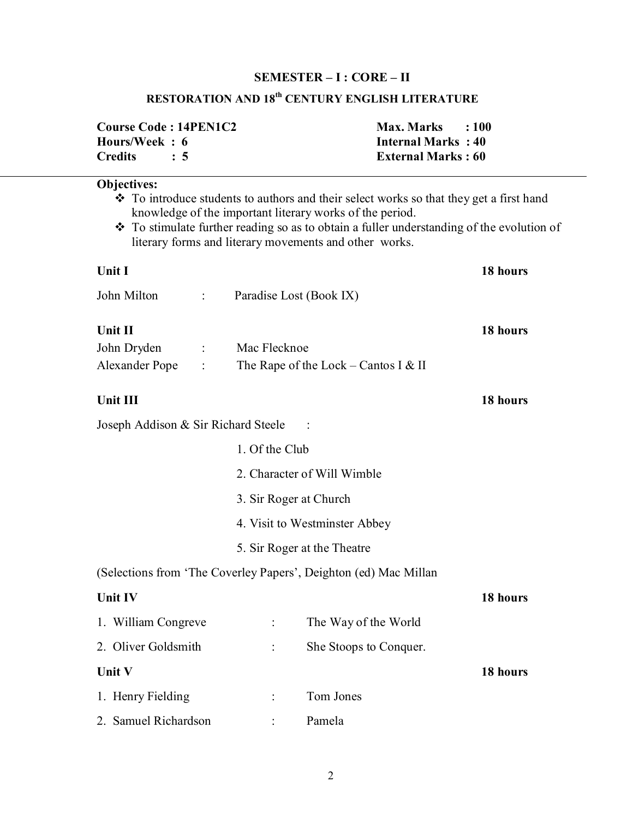# **SEMESTER – I : CORE – II**

# **RESTORATION AND 18th CENTURY ENGLISH LITERATURE**

| <b>Course Code: 14PEN1C2</b> | Max. Marks : 100          |  |
|------------------------------|---------------------------|--|
| Hours/Week: 6                | <b>Internal Marks: 40</b> |  |
| Credits : 5                  | <b>External Marks: 60</b> |  |

| <b>Objectives:</b>                                                             |                      |                                                                                                                                                                                                                                                                                                            |          |
|--------------------------------------------------------------------------------|----------------------|------------------------------------------------------------------------------------------------------------------------------------------------------------------------------------------------------------------------------------------------------------------------------------------------------------|----------|
|                                                                                |                      | ❖ To introduce students to authors and their select works so that they get a first hand<br>knowledge of the important literary works of the period.<br>❖ To stimulate further reading so as to obtain a fuller understanding of the evolution of<br>literary forms and literary movements and other works. |          |
| Unit I                                                                         |                      |                                                                                                                                                                                                                                                                                                            | 18 hours |
| John Milton                                                                    |                      | Paradise Lost (Book IX)                                                                                                                                                                                                                                                                                    |          |
| <b>Unit II</b><br>John Dryden<br>$\ddot{\phantom{a}}$<br><b>Alexander Pope</b> | Mac Flecknoe         | The Rape of the Lock – Cantos I & II                                                                                                                                                                                                                                                                       | 18 hours |
| Unit III                                                                       |                      |                                                                                                                                                                                                                                                                                                            | 18 hours |
| Joseph Addison & Sir Richard Steele                                            |                      |                                                                                                                                                                                                                                                                                                            |          |
|                                                                                | 1. Of the Club       |                                                                                                                                                                                                                                                                                                            |          |
|                                                                                |                      | 2. Character of Will Wimble                                                                                                                                                                                                                                                                                |          |
|                                                                                |                      | 3. Sir Roger at Church                                                                                                                                                                                                                                                                                     |          |
|                                                                                |                      | 4. Visit to Westminster Abbey                                                                                                                                                                                                                                                                              |          |
|                                                                                |                      | 5. Sir Roger at the Theatre                                                                                                                                                                                                                                                                                |          |
|                                                                                |                      | (Selections from 'The Coverley Papers', Deighton (ed) Mac Millan                                                                                                                                                                                                                                           |          |
| Unit IV                                                                        |                      |                                                                                                                                                                                                                                                                                                            | 18 hours |
| 1. William Congreve                                                            | $\ddot{\phantom{a}}$ | The Way of the World                                                                                                                                                                                                                                                                                       |          |
| 2. Oliver Goldsmith                                                            |                      | She Stoops to Conquer.                                                                                                                                                                                                                                                                                     |          |
| Unit V                                                                         |                      |                                                                                                                                                                                                                                                                                                            | 18 hours |
| 1. Henry Fielding                                                              |                      | Tom Jones                                                                                                                                                                                                                                                                                                  |          |

2. Samuel Richardson : Pamela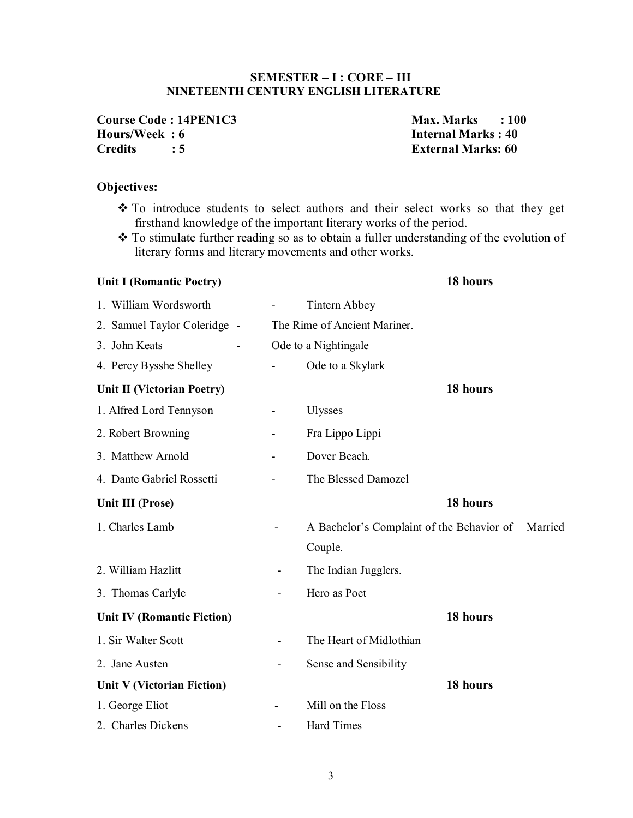# **SEMESTER – I : CORE – III NINETEENTH CENTURY ENGLISH LITERATURE**

| <b>Course Code: 14PEN1C3</b> |     |
|------------------------------|-----|
| Hours/Week: 6                |     |
| <b>Credits</b>               | : 5 |

**Course Code : 14PEN1C3 Max. Marks : 100 Internal Marks : 40 External Marks: 60** 

# **Objectives:**

- \* To introduce students to select authors and their select works so that they get firsthand knowledge of the important literary works of the period.
- To stimulate further reading so as to obtain a fuller understanding of the evolution of literary forms and literary movements and other works.

| <b>Unit I (Romantic Poetry)</b>   |                              |                                           | 18 hours |         |
|-----------------------------------|------------------------------|-------------------------------------------|----------|---------|
| 1. William Wordsworth             |                              | Tintern Abbey                             |          |         |
| 2. Samuel Taylor Coleridge -      |                              | The Rime of Ancient Mariner.              |          |         |
| 3. John Keats                     |                              | Ode to a Nightingale                      |          |         |
| 4. Percy Bysshe Shelley           |                              | Ode to a Skylark                          |          |         |
| Unit II (Victorian Poetry)        |                              |                                           | 18 hours |         |
| 1. Alfred Lord Tennyson           | $\qquad \qquad \blacksquare$ | <b>Ulysses</b>                            |          |         |
| 2. Robert Browning                |                              | Fra Lippo Lippi                           |          |         |
| 3. Matthew Arnold                 |                              | Dover Beach.                              |          |         |
| 4. Dante Gabriel Rossetti         |                              | The Blessed Damozel                       |          |         |
| Unit III (Prose)                  |                              |                                           | 18 hours |         |
| 1. Charles Lamb                   |                              | A Bachelor's Complaint of the Behavior of |          | Married |
|                                   |                              | Couple.                                   |          |         |
| 2. William Hazlitt                | $\overline{\phantom{a}}$     | The Indian Jugglers.                      |          |         |
| 3. Thomas Carlyle                 |                              | Hero as Poet                              |          |         |
| <b>Unit IV (Romantic Fiction)</b> |                              |                                           | 18 hours |         |
| 1. Sir Walter Scott               | $\overline{\phantom{0}}$     | The Heart of Midlothian                   |          |         |
| 2. Jane Austen                    |                              | Sense and Sensibility                     |          |         |
| Unit V (Victorian Fiction)        |                              |                                           | 18 hours |         |
| 1. George Eliot                   |                              | Mill on the Floss                         |          |         |
| 2. Charles Dickens                |                              | <b>Hard Times</b>                         |          |         |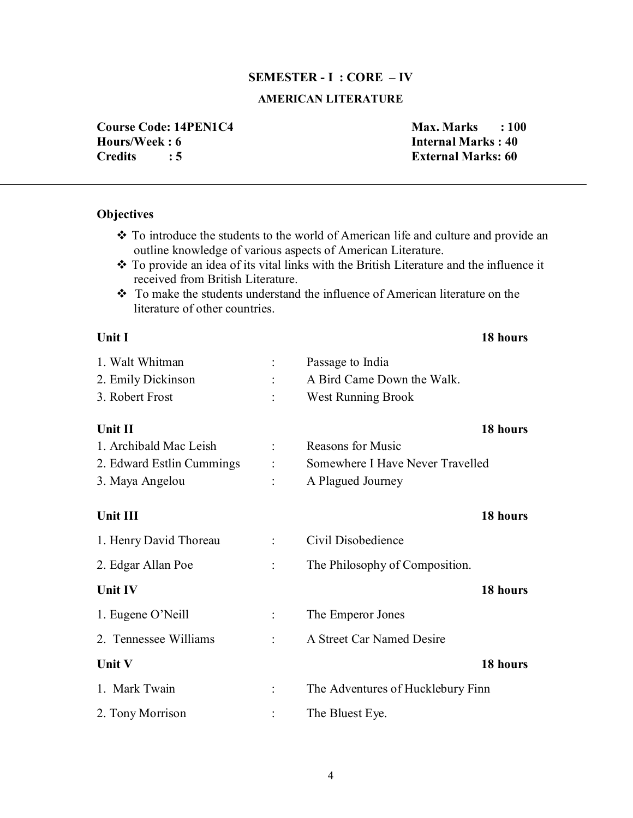### **SEMESTER - I : CORE – IV**

# **AMERICAN LITERATURE**

**Course Code: 14PEN1C4 Max. Marks : 100 Hours/Week : 6 Internal Marks : 40 Credits : 5 External Marks: 60**

# **Objectives**

- \* To introduce the students to the world of American life and culture and provide an outline knowledge of various aspects of American Literature.
- To provide an idea of its vital links with the British Literature and the influence it received from British Literature.
- To make the students understand the influence of American literature on the literature of other countries.

| Unit I                    | 18 hours                          |
|---------------------------|-----------------------------------|
| 1. Walt Whitman           | Passage to India                  |
| 2. Emily Dickinson        | A Bird Came Down the Walk.        |
| 3. Robert Frost           | <b>West Running Brook</b>         |
| <b>Unit II</b>            | 18 hours                          |
| 1. Archibald Mac Leish    | <b>Reasons for Music</b>          |
| 2. Edward Estlin Cummings | Somewhere I Have Never Travelled  |
| 3. Maya Angelou           | A Plagued Journey                 |
| Unit III                  | 18 hours                          |
| 1. Henry David Thoreau    | Civil Disobedience                |
| 2. Edgar Allan Poe        | The Philosophy of Composition.    |
| Unit IV                   | 18 hours                          |
| 1. Eugene O'Neill         | The Emperor Jones                 |
| 2. Tennessee Williams     | A Street Car Named Desire         |
| Unit V                    | 18 hours                          |
| 1. Mark Twain             | The Adventures of Hucklebury Finn |
| 2. Tony Morrison          | The Bluest Eye.                   |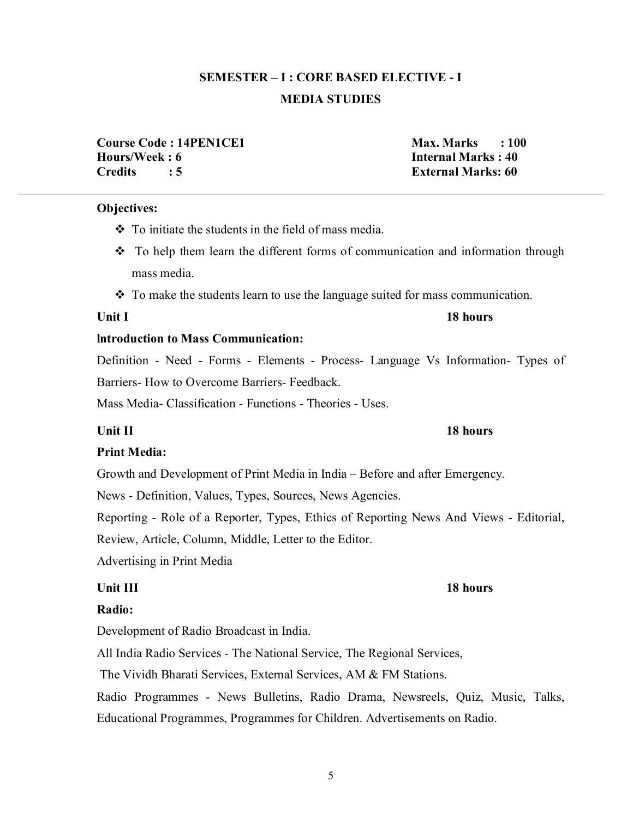# **SEMESTER – I : CORE BASED ELECTIVE - I MEDIA STUDIES**

**Course Code : 14PEN1CE1** Max. Marks : 100 **Hours/Week : 6 Internal Marks : 40 Credits : 5 External Marks: 60**

# **Objectives:**

- $\div$  To initiate the students in the field of mass media.
- To help them learn the different forms of communication and information through mass media.
- To make the students learn to use the language suited for mass communication.

# **lntroduction to Mass Communication:**

Definition - Need - Forms - Elements - Process- Language Vs Information- Types of Barriers- How to Overcome Barriers- Feedback.

Mass Media- Classification - Functions - Theories - Uses.

# **Unit II** 18 hours

# **Print Media:**

Growth and Development of Print Media in India – Before and after Emergency.

News - Definition, Values, Types, Sources, News Agencies.

Reporting - Role of a Reporter, Types, Ethics of Reporting News And Views - Editorial,

Review, Article, Column, Middle, Letter to the Editor.

Advertising in Print Media

# **Unit III** 18 hours

# **Radio:**

Development of Radio Broadcast in India.

All India Radio Services - The National Service, The Regional Services,

The Vividh Bharati Services, External Services, AM & FM Stations.

Radio Programmes - News Bulletins, Radio Drama, Newsreels, Quiz, Music, Talks, Educational Programmes, Programmes for Children. Advertisements on Radio.

# **Unit I** 18 hours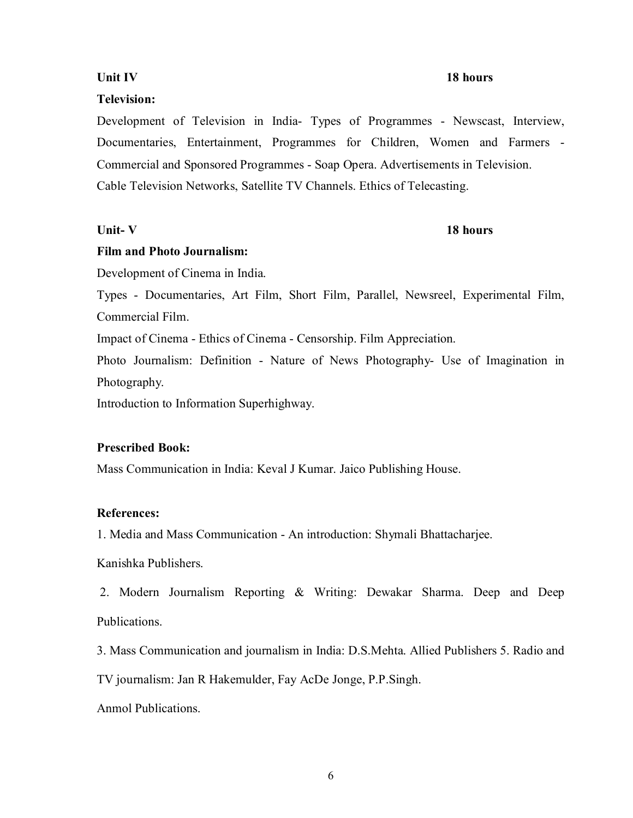# **Unit IV** 18 hours

# **Television:**

Development of Television in India- Types of Programmes - Newscast, Interview, Documentaries, Entertainment, Programmes for Children, Women and Farmers - Commercial and Sponsored Programmes - Soap Opera. Advertisements in Television. Cable Television Networks, Satellite TV Channels. Ethics of Telecasting.

### Unit- V 18 hours

### **Film and Photo Journalism:**

Development of Cinema in India.

Types - Documentaries, Art Film, Short Film, Parallel, Newsreel, Experimental Film, Commercial Film.

Impact of Cinema - Ethics of Cinema - Censorship. Film Appreciation.

Photo Journalism: Definition - Nature of News Photography- Use of Imagination in Photography.

Introduction to Information Superhighway.

### **Prescribed Book:**

Mass Communication in India: Keval J Kumar. Jaico Publishing House.

### **References:**

1. Media and Mass Communication - An introduction: Shymali Bhattacharjee.

Kanishka Publishers.

 2. Modern Journalism Reporting & Writing: Dewakar Sharma. Deep and Deep Publications.

3. Mass Communication and journalism in India: D.S.Mehta. Allied Publishers 5. Radio and

TV journalism: Jan R Hakemulder, Fay AcDe Jonge, P.P.Singh.

Anmol Publications.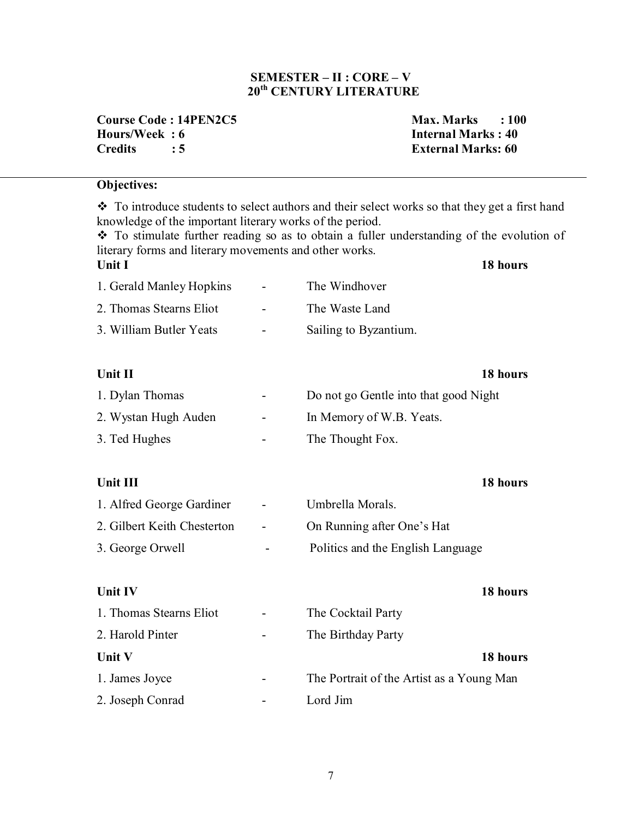# **SEMESTER – II : CORE – V 20th CENTURY LITERATURE**

**Course Code : 14PEN2C5 Max. Marks : 100 Hours/Week : 6 Internal Marks : 40 Credits : 5 External Marks: 60**

# **Objectives:**

 $\cdot \cdot$  To introduce students to select authors and their select works so that they get a first hand knowledge of the important literary works of the period. \* To stimulate further reading so as to obtain a fuller understanding of the evolution of literary forms and literary movements and other works. **Unit I 18 hours** 1. Gerald Manley Hopkins - The Windhover 2. Thomas Stearns Eliot - The Waste Land 3. William Butler Yeats - Sailing to Byzantium.

# **Unit II** 18 hours

| 1. Dylan Thomas      | <b>Contract Contract State</b> | Do not go Gentle into that good Night |  |
|----------------------|--------------------------------|---------------------------------------|--|
| 2. Wystan Hugh Auden | $\sim$ 100 $\mu$               | In Memory of W.B. Yeats.              |  |
| 3. Ted Hughes        | $\overline{\phantom{a}}$       | The Thought Fox.                      |  |

# **Unit III** 18 hours

| 1. Alfred George Gardiner   | $\sim 100$ km s $^{-1}$ | Umbrella Morals.                  |
|-----------------------------|-------------------------|-----------------------------------|
| 2. Gilbert Keith Chesterton | $\sim$ 100 $\mu$        | On Running after One's Hat        |
| 3. George Orwell            | $\sim$                  | Politics and the English Language |

# **Unit IV** 18 hours

| 1. Thomas Stearns Eliot | $\overline{\phantom{0}}$ | The Cocktail Party                        |
|-------------------------|--------------------------|-------------------------------------------|
| 2. Harold Pinter        | ۰                        | The Birthday Party                        |
| <b>Unit V</b>           |                          | 18 hours                                  |
| 1. James Joyce          |                          | The Portrait of the Artist as a Young Man |
| 2. Joseph Conrad        |                          | Lord Jim                                  |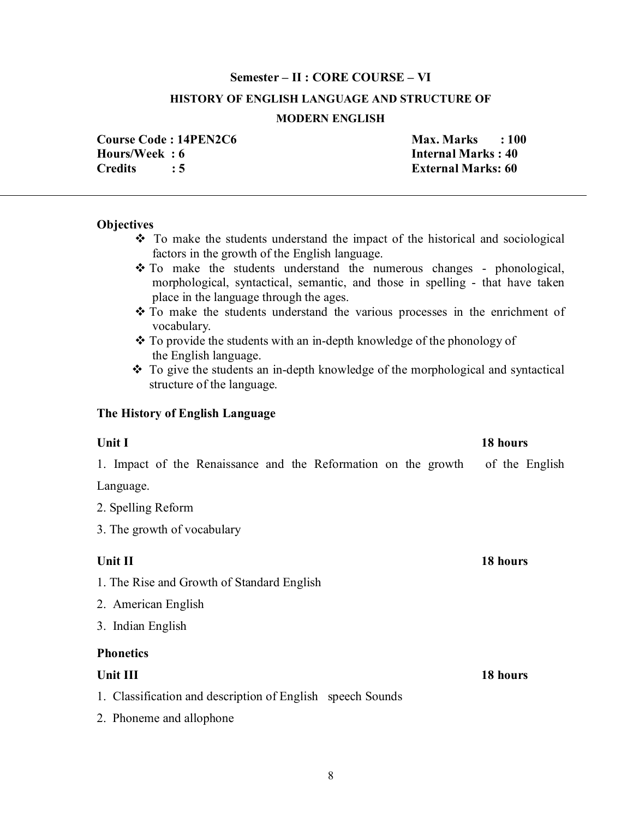### **Semester – II : CORE COURSE – VI**

### **HISTORY OF ENGLISH LANGUAGE AND STRUCTURE OF**

### **MODERN ENGLISH**

**Hours/Week : 6 Internal Marks : 40 Credits : 5 External Marks: 60**

**Course Code : 14PEN2C6 Max. Marks : 100** 

### **Objectives**

- $\div$  To make the students understand the impact of the historical and sociological factors in the growth of the English language.
- \* To make the students understand the numerous changes phonological, morphological, syntactical, semantic, and those in spelling - that have taken place in the language through the ages.
- To make the students understand the various processes in the enrichment of vocabulary.
- \* To provide the students with an in-depth knowledge of the phonology of the English language.
- To give the students an in-depth knowledge of the morphological and syntactical structure of the language.

### **The History of English Language**

# **Unit I** 18 hours

1. Impact of the Renaissance and the Reformation on the growth of the English

Language.

2. Spelling Reform

3. The growth of vocabulary

# **Unit II** 18 hours

- 1. The Rise and Growth of Standard English
- 2. American English
- 3. Indian English

# **Phonetics**

- 1. Classification and description of English speech Sounds
- 2. Phoneme and allophone

**Unit III** 18 hours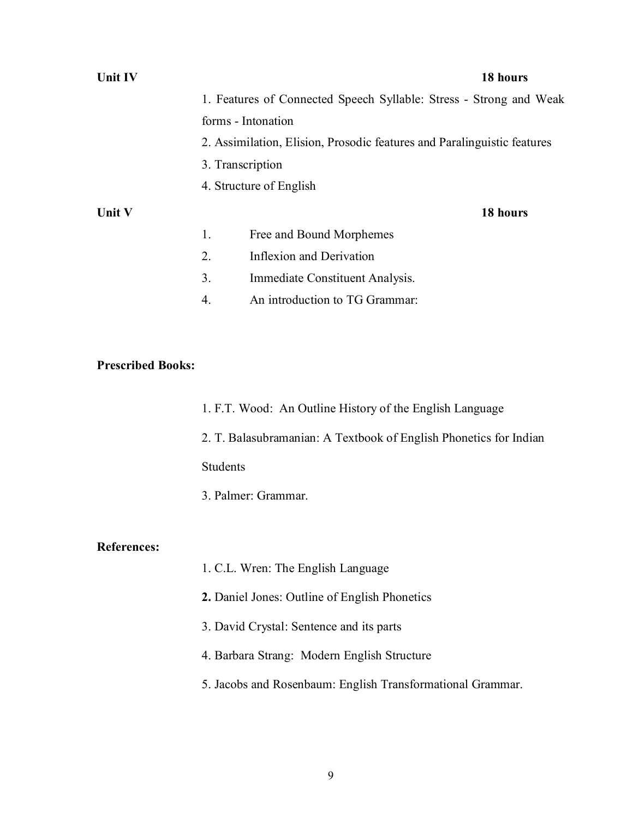| Unit IV |    | 18 hours                                                                |
|---------|----|-------------------------------------------------------------------------|
|         |    | 1. Features of Connected Speech Syllable: Stress - Strong and Weak      |
|         |    | forms - Intonation                                                      |
|         |    | 2. Assimilation, Elision, Prosodic features and Paralinguistic features |
|         |    | 3. Transcription                                                        |
|         |    | 4. Structure of English                                                 |
| Unit V  |    | 18 hours                                                                |
|         | 1. | Free and Bound Morphemes                                                |
|         | 2. | Inflexion and Derivation                                                |
|         | 3. | Immediate Constituent Analysis.                                         |
|         | 4. | An introduction to TG Grammar:                                          |

# **Prescribed Books:**

| 1. F.T. Wood: An Outline History of the English Language |
|----------------------------------------------------------|
|----------------------------------------------------------|

2. T. Balasubramanian: A Textbook of English Phonetics for Indian

Students

3. Palmer: Grammar.

# **References:**

- 1. C.L. Wren: The English Language
- **2.** Daniel Jones: Outline of English Phonetics
- 3. David Crystal: Sentence and its parts
- 4. Barbara Strang: Modern English Structure
- 5. Jacobs and Rosenbaum: English Transformational Grammar.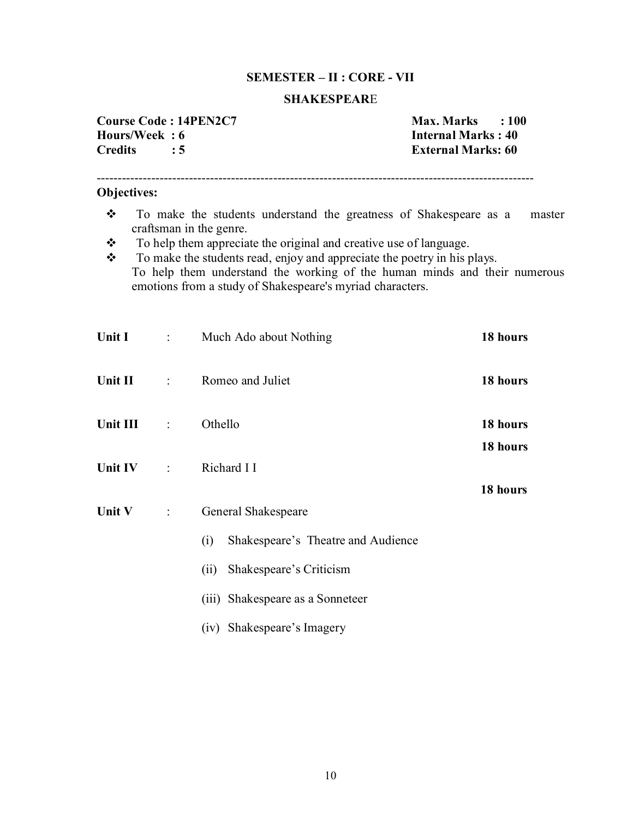# **SEMESTER – II : CORE - VII**

### **SHAKESPEAR**E

| Course Code: 14PEN2C7 |     |
|-----------------------|-----|
| Hours/Week: 6         |     |
| <b>Credits</b>        | : 5 |

**Course Code : 14PEN2C7 Max. Marks : 100 Internal Marks : 40 External Marks: 60** 

# **Objectives:**

\* To make the students understand the greatness of Shakespeare as a master craftsman in the genre.

--------------------------------------------------------------------------------------------------------

- \* To help them appreciate the original and creative use of language.
- \* To make the students read, enjoy and appreciate the poetry in his plays. To help them understand the working of the human minds and their numerous emotions from a study of Shakespeare's myriad characters.

| Unit $I$ : |                | Much Ado about Nothing                    | 18 hours |
|------------|----------------|-------------------------------------------|----------|
| Unit II :  |                | Romeo and Juliet                          | 18 hours |
| Unit III : |                | Othello                                   | 18 hours |
|            |                |                                           | 18 hours |
| Unit IV :  |                | Richard I I                               |          |
|            |                |                                           | 18 hours |
| Unit V     | $\mathbb{R}^n$ | General Shakespeare                       |          |
|            |                | Shakespeare's Theatre and Audience<br>(i) |          |
|            |                | Shakespeare's Criticism<br>(ii)           |          |
|            |                | (iii) Shakespeare as a Sonneteer          |          |
|            |                | (iv) Shakespeare's Imagery                |          |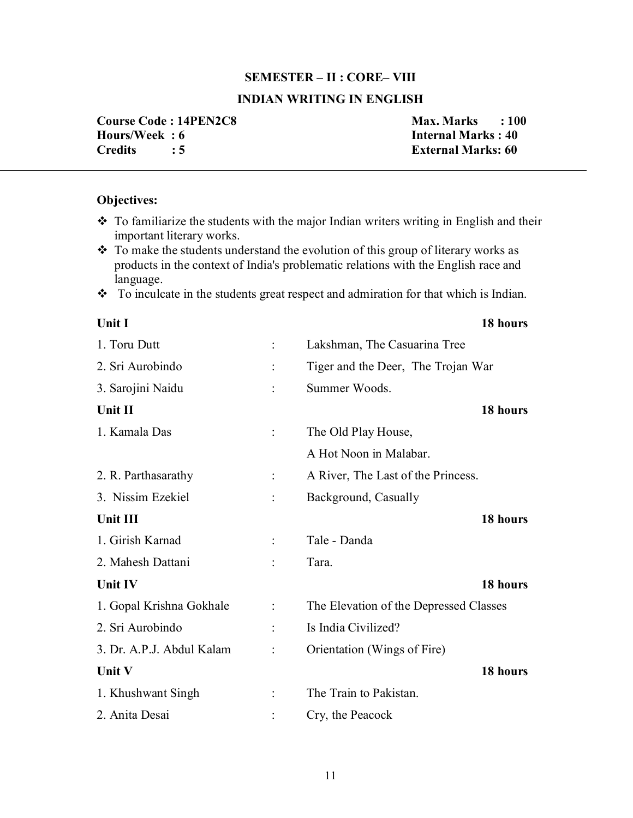### **SEMESTER – II : CORE– VIII**

# **INDIAN WRITING IN ENGLISH**

**Course Code : 14PEN2C8 Max. Marks : 100 Hours/Week : 6 11.1 Internal Marks : 40 Internal Marks : 40 Internal Marks : 40 Internal Marks : 40 Internal Marks : 40 Internal Marks : 60 Internal Marks : 60 Internal Marks : 60 Internal Marks : 60 Internal Marks : 60 I** 

**External Marks: 60** 

# **Objectives:**

- $\cdot$  To familiarize the students with the major Indian writers writing in English and their important literary works.
- \* To make the students understand the evolution of this group of literary works as products in the context of India's problematic relations with the English race and language.
- \* To inculcate in the students great respect and admiration for that which is Indian.

| Unit I                    | 18 hours                               |
|---------------------------|----------------------------------------|
| 1. Toru Dutt              | Lakshman, The Casuarina Tree           |
| 2. Sri Aurobindo          | Tiger and the Deer, The Trojan War     |
| 3. Sarojini Naidu         | Summer Woods.                          |
| Unit II                   | 18 hours                               |
| 1. Kamala Das             | The Old Play House,                    |
|                           | A Hot Noon in Malabar.                 |
| 2. R. Parthasarathy       | A River, The Last of the Princess.     |
| 3. Nissim Ezekiel         | Background, Casually                   |
| Unit III                  | 18 hours                               |
| 1. Girish Karnad          | Tale - Danda                           |
| 2. Mahesh Dattani         | Tara.                                  |
| <b>Unit IV</b>            | 18 hours                               |
| 1. Gopal Krishna Gokhale  | The Elevation of the Depressed Classes |
| 2. Sri Aurobindo          | Is India Civilized?                    |
| 3. Dr. A.P.J. Abdul Kalam | Orientation (Wings of Fire)            |
| <b>Unit V</b>             | 18 hours                               |
| 1. Khushwant Singh        | The Train to Pakistan.                 |
| 2. Anita Desai            | Cry, the Peacock                       |
|                           |                                        |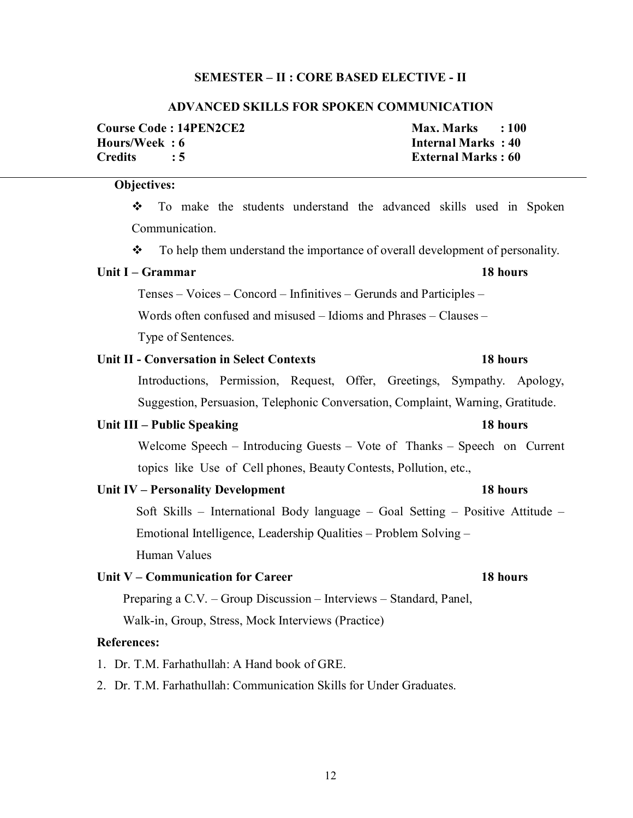### **SEMESTER – II : CORE BASED ELECTIVE - II**

### **ADVANCED SKILLS FOR SPOKEN COMMUNICATION**

|                | <b>Course Code : 14PEN2CE2</b> | $Max. Marks$ : 100        |  |
|----------------|--------------------------------|---------------------------|--|
| Hours/Week : 6 |                                | Internal Marks: 40        |  |
| Credits        |                                | <b>External Marks: 60</b> |  |

# **Objectives:**

 To make the students understand the advanced skills used in Spoken Communication.

\* To help them understand the importance of overall development of personality.

## **Unit I – Grammar 18 hours**

Tenses – Voices – Concord – Infinitives – Gerunds and Participles –

Words often confused and misused – Idioms and Phrases – Clauses –

Type of Sentences.

# **Unit II - Conversation in Select Contexts 18 hours**

 Introductions, Permission, Request, Offer, Greetings, Sympathy. Apology, Suggestion, Persuasion, Telephonic Conversation, Complaint, Warning, Gratitude.

### **Unit III – Public Speaking 18 hours**

 Welcome Speech – Introducing Guests – Vote of Thanks – Speech on Current topics like Use of Cell phones, Beauty Contests, Pollution, etc.,

| Unit IV – Personality Development | 18 hours |
|-----------------------------------|----------|
|-----------------------------------|----------|

 Soft Skills – International Body language – Goal Setting – Positive Attitude – Emotional Intelligence, Leadership Qualities – Problem Solving – Human Values

# **Unit V – Communication for Career 18 hours**

Preparing a C.V. – Group Discussion – Interviews – Standard, Panel,

Walk-in, Group, Stress, Mock Interviews (Practice)

## **References:**

1. Dr. T.M. Farhathullah: A Hand book of GRE.

2. Dr. T.M. Farhathullah: Communication Skills for Under Graduates.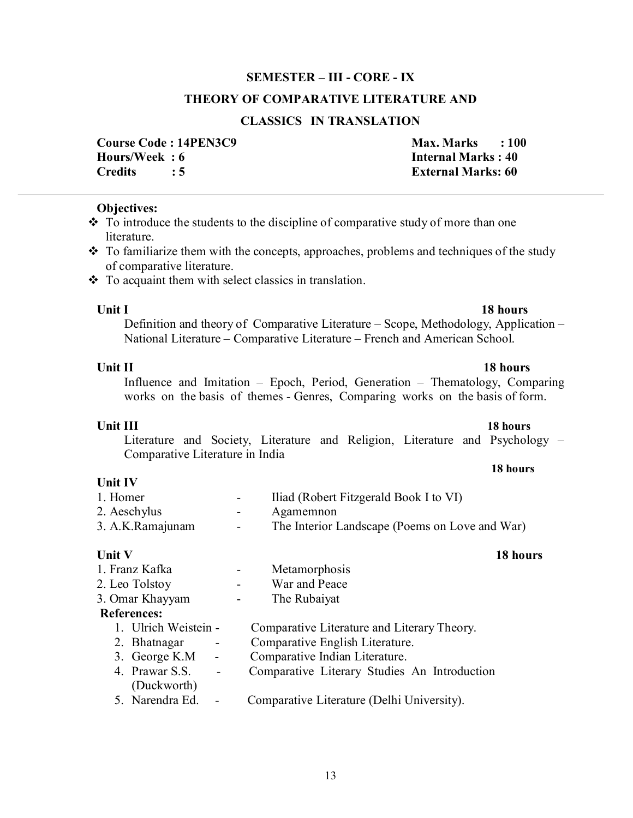**Unit IV** 

# **Unit V** 18 hours

- 1. Franz Kafka Metamorphosis
- 2. Leo Tolstoy War and Peace
- 3. Omar Khayyam The Rubaiyat

- **References:**<br>1 **Ultrich Weistein -**Comparative Literature and Literary Theory. 2. Bhatnagar - Comparative English Literature. 3. George K.M - Comparative Indian Literature. 4. Prawar S.S. - Comparative Literary Studies An Introduction (Duckworth)
	- 5. Narendra Ed. Comparative Literature (Delhi University).

### $\div$  To introduce the students to the discipline of comparative study of more than one literature.

**Objectives:** 

- \* To familiarize them with the concepts, approaches, problems and techniques of the study of comparative literature.
- $\cdot \cdot$  To acquaint them with select classics in translation.

# **Unit I** 18 hours

# Definition and theory of Comparative Literature – Scope, Methodology, Application – National Literature – Comparative Literature – French and American School.

### **Unit II** 18 hours Influence and Imitation – Epoch, Period, Generation – Thematology, Comparing works on the basis of themes - Genres, Comparing works on the basis of form.

# **SEMESTER – III - CORE - IX**

**THEORY OF COMPARATIVE LITERATURE AND** 

# **CLASSICS IN TRANSLATION**

**Course Code : 14PEN3C9 Max. Marks : 100 Hours/Week : 6 11.1 Internal Marks : 40 Internal Marks : 40 Internal Marks : 40 Internal Marks : 40 Internal Marks : 40 Internal Marks : 60 Internal Marks : 60 Internal Marks : 60 Internal Marks : 60 Internal Marks : 60 I Credits : 5 External Marks: 60**

# **Unit III** 18 hours

Literature and Society, Literature and Religion, Literature and Psychology – Comparative Literature in India

# **18 hours**

# 1. Homer **-** Iliad (Robert Fitzgerald Book I to VI) 2. Aeschylus - Agamemnon 3. A.K.Ramajunam - The Interior Landscape (Poems on Love and War)

# 13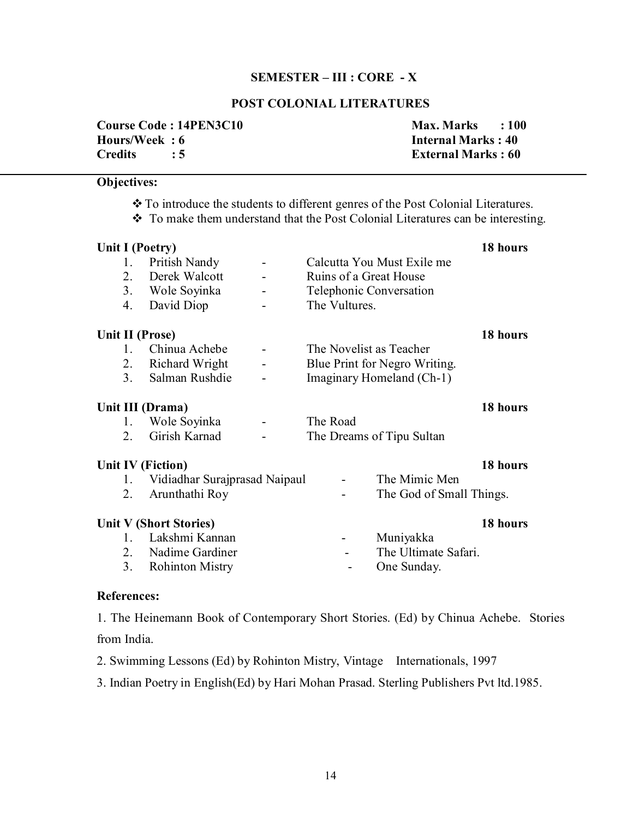### **SEMESTER – III : CORE - X**

# **POST COLONIAL LITERATURES**

|               | <b>Course Code: 14PEN3C10</b> | $Max. Marks$ : 100        |  |
|---------------|-------------------------------|---------------------------|--|
| Hours/Week: 6 |                               | <b>Internal Marks: 40</b> |  |
| Credits : 5   |                               | <b>External Marks: 60</b> |  |

# **Objectives:**

- To introduce the students to different genres of the Post Colonial Literatures.
- To make them understand that the Post Colonial Literatures can be interesting.

| Unit I (Poetry)   |                                 |                         |                               | 18 hours |
|-------------------|---------------------------------|-------------------------|-------------------------------|----------|
| 1.                | Pritish Nandy<br>$\blacksquare$ |                         | Calcutta You Must Exile me    |          |
| 2.                | Derek Walcott                   | Ruins of a Great House  |                               |          |
|                   | 3. Wole Soyinka                 | Telephonic Conversation |                               |          |
| 4.                | David Diop                      | The Vultures.           |                               |          |
| Unit II (Prose)   |                                 |                         |                               | 18 hours |
| $1 \quad$         | Chinua Achebe                   | The Novelist as Teacher |                               |          |
| 2 <sub>1</sub>    | Richard Wright                  |                         | Blue Print for Negro Writing. |          |
| 3 <sub>1</sub>    | Salman Rushdie                  |                         | Imaginary Homeland (Ch-1)     |          |
| Unit III (Drama)  |                                 |                         |                               | 18 hours |
| 1.                | Wole Soyinka<br>$\blacksquare$  | The Road                |                               |          |
| 2.                | Girish Karnad                   |                         | The Dreams of Tipu Sultan     |          |
| Unit IV (Fiction) |                                 |                         |                               | 18 hours |
| 1.                | Vidiadhar Surajprasad Naipaul   |                         | The Mimic Men                 |          |
| 2.                | Arunthathi Roy                  |                         | The God of Small Things.      |          |
|                   | Unit V (Short Stories)          |                         |                               | 18 hours |
| $1_{\ldots}$      | Lakshmi Kannan                  |                         | Muniyakka                     |          |
|                   | 2. Nadime Gardiner              |                         | The Ultimate Safari.          |          |
| 3 <sub>1</sub>    | <b>Rohinton Mistry</b>          |                         | One Sunday.                   |          |

### **References:**

1. The Heinemann Book of Contemporary Short Stories. (Ed) by Chinua Achebe. Stories from India.

2. Swimming Lessons (Ed) by Rohinton Mistry, Vintage Internationals, 1997

3. Indian Poetry in English(Ed) by Hari Mohan Prasad. Sterling Publishers Pvt ltd.1985.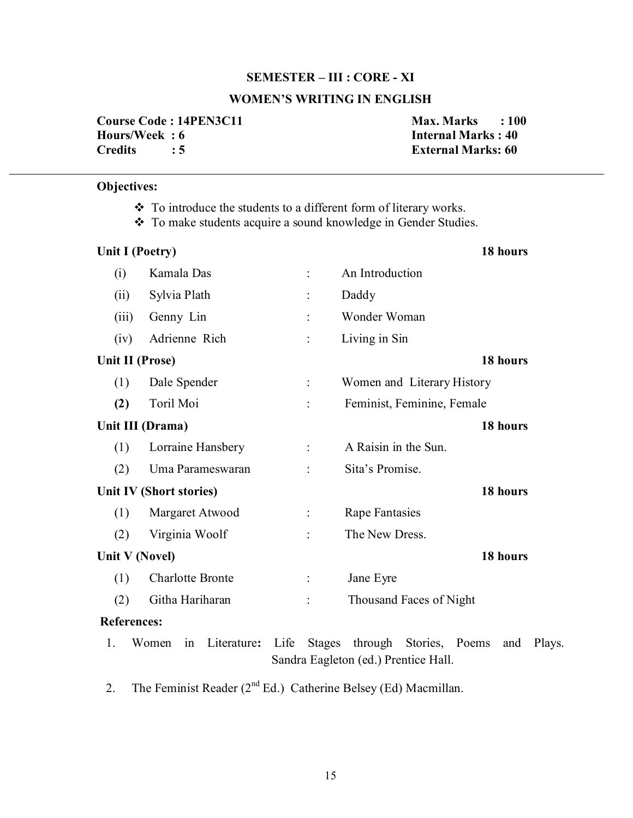### **SEMESTER – III : CORE - XI**

# **WOMEN'S WRITING IN ENGLISH**

**Course Code : 14PEN3C11** Max. Marks : 100 **Hours/Week : 6 Internal Marks : 40<br>Credits : 5 20 External Marks: 60** 

**External Marks: 60** 

# **Objectives:**

- \* To introduce the students to a different form of literary works.
- \* To make students acquire a sound knowledge in Gender Studies.

|       | <b>Unit I (Poetry)</b>     | 18 hours                                                                                                    |
|-------|----------------------------|-------------------------------------------------------------------------------------------------------------|
| (i)   | Kamala Das                 | An Introduction                                                                                             |
| (ii)  | Sylvia Plath               | Daddy                                                                                                       |
| (iii) | Genny Lin                  | Wonder Woman                                                                                                |
| (iv)  | Adrienne Rich              | Living in Sin                                                                                               |
|       | Unit II (Prose)            | 18 hours                                                                                                    |
| (1)   | Dale Spender               | Women and Literary History                                                                                  |
| (2)   | Toril Moi                  | Feminist, Feminine, Female                                                                                  |
|       | Unit III (Drama)           | 18 hours                                                                                                    |
| (1)   | Lorraine Hansbery          | A Raisin in the Sun.<br>$\ddot{\cdot}$                                                                      |
| (2)   | Uma Parameswaran           | Sita's Promise.                                                                                             |
|       | Unit IV (Short stories)    | 18 hours                                                                                                    |
| (1)   | Margaret Atwood            | <b>Rape Fantasies</b>                                                                                       |
| (2)   | Virginia Woolf             | The New Dress.                                                                                              |
|       | Unit V (Novel)             | 18 hours                                                                                                    |
| (1)   | <b>Charlotte Bronte</b>    | Jane Eyre                                                                                                   |
| (2)   | Githa Hariharan            | Thousand Faces of Night                                                                                     |
|       | <b>References:</b>         |                                                                                                             |
| 1.    | Literature:<br>Women<br>in | Life<br>through<br>Stories, Poems<br><b>Stages</b><br>Plays.<br>and<br>Sandra Eagleton (ed.) Prentice Hall. |

2. The Feminist Reader  $(2<sup>nd</sup> Ed.)$  Catherine Belsey (Ed) Macmillan.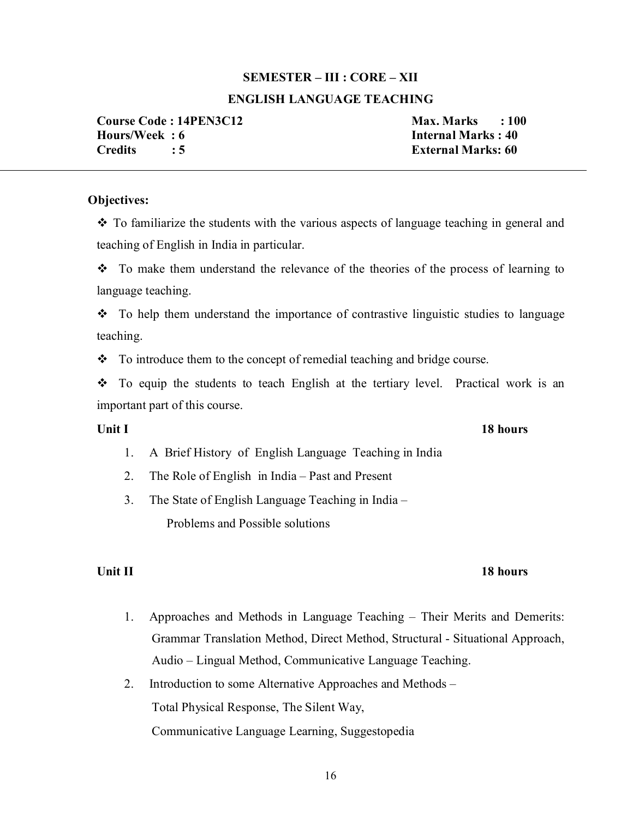# **SEMESTER – III : CORE – XII**

# **ENGLISH LANGUAGE TEACHING**

**Course Code : 14PEN3C12** Max. Marks : 100 **Hours/Week : 6 Internal Marks : 40 Credits : 5 External Marks: 60** 

# **Objectives:**

 To familiarize the students with the various aspects of language teaching in general and teaching of English in India in particular.

 $\div$  To make them understand the relevance of the theories of the process of learning to language teaching.

• To help them understand the importance of contrastive linguistic studies to language teaching.

 $\bullet$  To introduce them to the concept of remedial teaching and bridge course.

• To equip the students to teach English at the tertiary level. Practical work is an important part of this course.

- 1. A Brief History of English Language Teaching in India
- 2. The Role of English in India Past and Present
- 3. The State of English Language Teaching in India Problems and Possible solutions

# **Unit II** 18 hours

- 1. Approaches and Methods in Language Teaching Their Merits and Demerits: Grammar Translation Method, Direct Method, Structural - Situational Approach, Audio – Lingual Method, Communicative Language Teaching.
- 2. Introduction to some Alternative Approaches and Methods Total Physical Response, The Silent Way, Communicative Language Learning, Suggestopedia

# **Unit I** 18 hours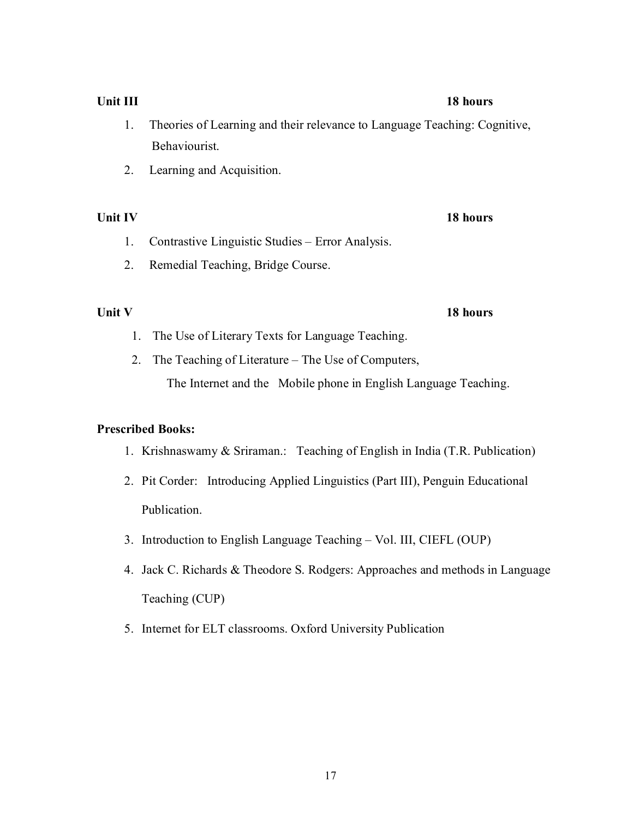- 1. Theories of Learning and their relevance to Language Teaching: Cognitive, Behaviourist.
- 2. Learning and Acquisition.

# **Unit IV** 18 hours

- 1. Contrastive Linguistic Studies Error Analysis.
- 2. Remedial Teaching, Bridge Course.

- 1. The Use of Literary Texts for Language Teaching.
- 2. The Teaching of Literature The Use of Computers,

The Internet and the Mobile phone in English Language Teaching.

# **Prescribed Books:**

- 1. Krishnaswamy & Sriraman.: Teaching of English in India (T.R. Publication)
- 2. Pit Corder: Introducing Applied Linguistics (Part III), Penguin Educational Publication.
- 3. Introduction to English Language Teaching Vol. III, CIEFL (OUP)
- 4. Jack C. Richards & Theodore S. Rodgers: Approaches and methods in Language Teaching (CUP)
- 5. Internet for ELT classrooms. Oxford University Publication

**Unit III** 18 hours

# **Unit V** 18 hours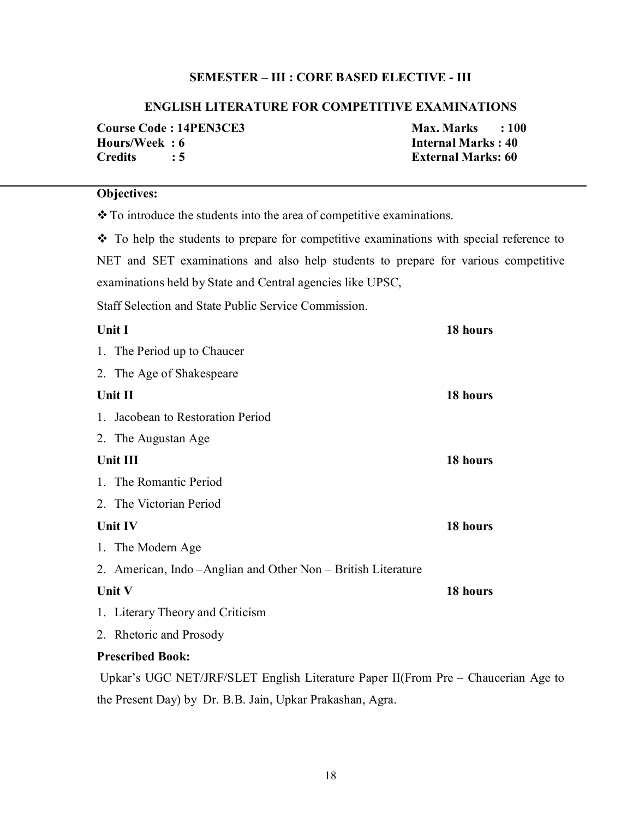# **SEMESTER – III : CORE BASED ELECTIVE - III**

### **ENGLISH LITERATURE FOR COMPETITIVE EXAMINATIONS**

|                         | <b>Course Code: 14PEN3CE3</b> | $Max. Marks$ : 100        |  |
|-------------------------|-------------------------------|---------------------------|--|
| Hours/Week: 6           |                               | <b>Internal Marks: 40</b> |  |
| $C$ redits $\qquad$ : 5 |                               | <b>External Marks: 60</b> |  |

# **Objectives:**

\* To introduce the students into the area of competitive examinations.

 $\cdot \cdot$  To help the students to prepare for competitive examinations with special reference to NET and SET examinations and also help students to prepare for various competitive examinations held by State and Central agencies like UPSC,

Staff Selection and State Public Service Commission.

| Unit I                                                                            | 18 hours |
|-----------------------------------------------------------------------------------|----------|
| 1. The Period up to Chaucer                                                       |          |
| 2. The Age of Shakespeare                                                         |          |
| Unit II                                                                           | 18 hours |
| 1. Jacobean to Restoration Period                                                 |          |
| 2. The Augustan Age                                                               |          |
| Unit III                                                                          | 18 hours |
| 1. The Romantic Period                                                            |          |
| 2. The Victorian Period                                                           |          |
| Unit IV                                                                           | 18 hours |
| 1. The Modern Age                                                                 |          |
| 2. American, Indo – Anglian and Other Non – British Literature                    |          |
| Unit V                                                                            | 18 hours |
| 1. Literary Theory and Criticism                                                  |          |
| 2. Rhetoric and Prosody                                                           |          |
| <b>Prescribed Book:</b>                                                           |          |
| Upkar's UGC NET/JRF/SLET English Literature Paper II(From Pre – Chaucerian Age to |          |

the Present Day) by Dr. B.B. Jain, Upkar Prakashan, Agra.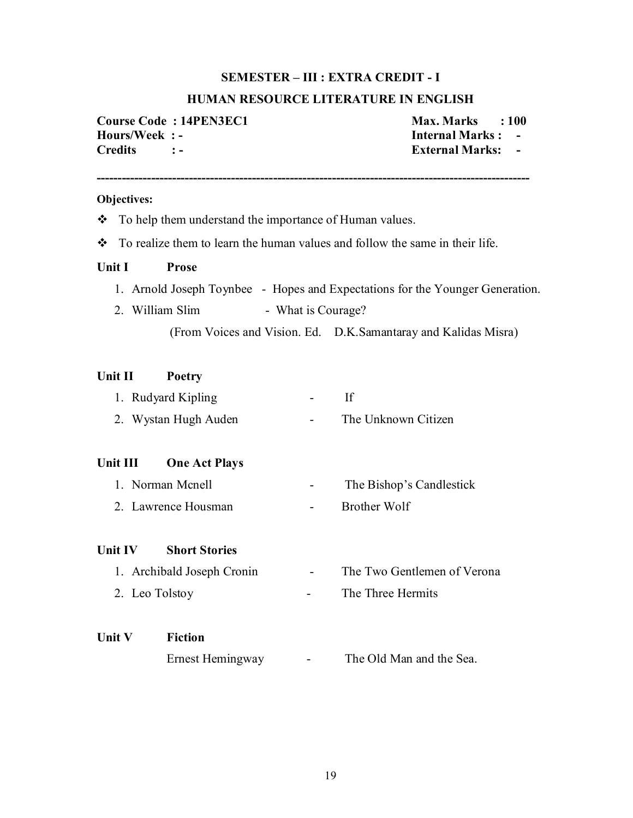### **SEMESTER – III : EXTRA CREDIT - I**

### **HUMAN RESOURCE LITERATURE IN ENGLISH**

**Course Code : 14PEN3EC1 Max. Marks : 100 Hours/Week : - Internal Marks : - Credits : - External Marks: -**

### **Objectives:**

• To help them understand the importance of Human values.

**-------------------------------------------------------------------------------------------------------**

 $\bullet$  To realize them to learn the human values and follow the same in their life.

### **Unit I Prose**

- 1. Arnold Joseph Toynbee Hopes and Expectations for the Younger Generation.
- 2. William Slim What is Courage?

(From Voices and Vision. Ed. D.K.Samantaray and Kalidas Misra)

### **Unit II Poetry**

| 1. Rudyard Kipling   |                     |
|----------------------|---------------------|
| 2. Wystan Hugh Auden | The Unknown Citizen |

## **Unit III One Act Plays**

- 1. Norman Mcnell The Bishop's Candlestick
- 2. Lawrence Housman Brother Wolf

### **Unit IV Short Stories**

1. Archibald Joseph Cronin - The Two Gentlemen of Verona 2. Leo Tolstoy - The Three Hermits

# **Unit V Fiction**

Ernest Hemingway - The Old Man and the Sea.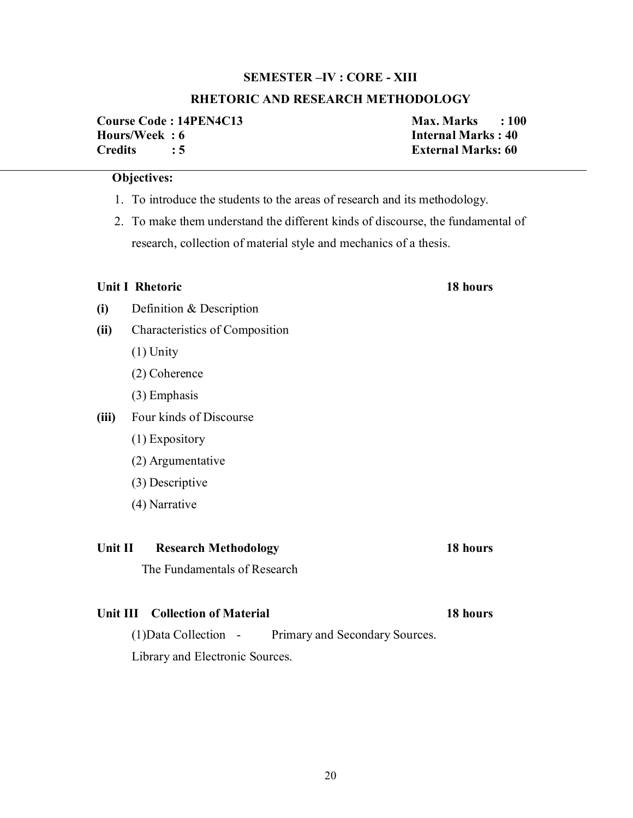# **SEMESTER –IV : CORE - XIII**

## **RHETORIC AND RESEARCH METHODOLOGY**

**Course Code : 14PEN4C13 Max. Marks : 100 Hours/Week : 6 Internal Marks : 40 Credits : 5 External Marks: 60**

### **Objectives:**

- 1. To introduce the students to the areas of research and its methodology.
- 2. To make them understand the different kinds of discourse, the fundamental of research, collection of material style and mechanics of a thesis.

### **Unit I Rhetoric 18 hours**

**(i)** Definition & Description

- **(ii)** Characteristics of Composition
	- (1) Unity
	- (2) Coherence
	- (3) Emphasis
- **(iii)** Four kinds of Discourse
	- (1) Expository
	- (2) Argumentative
	- (3) Descriptive
	- (4) Narrative

### **Unit II Research Methodology 18 hours**

The Fundamentals of Research

# Unit III Collection of Material 18 hours

(1)Data Collection - Primary and Secondary Sources.

Library and Electronic Sources.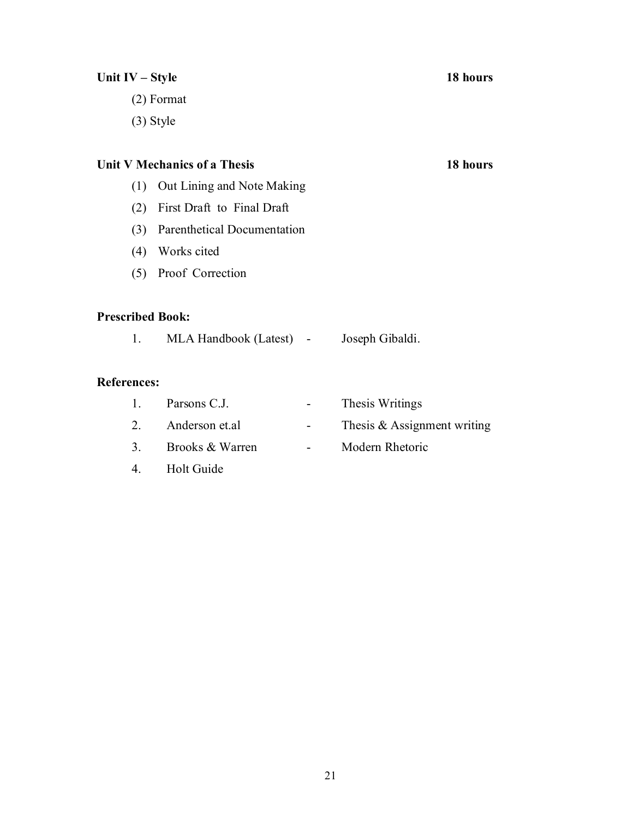| 18 hours<br>Unit IV – Style |                              |   |                               |          |  |
|-----------------------------|------------------------------|---|-------------------------------|----------|--|
|                             | $(2)$ Format                 |   |                               |          |  |
|                             | $(3)$ Style                  |   |                               |          |  |
|                             |                              |   |                               |          |  |
|                             | Unit V Mechanics of a Thesis |   |                               | 18 hours |  |
| (1)                         | Out Lining and Note Making   |   |                               |          |  |
| (2)                         | First Draft to Final Draft   |   |                               |          |  |
| (3)                         | Parenthetical Documentation  |   |                               |          |  |
| (4)                         | Works cited                  |   |                               |          |  |
|                             | (5) Proof Correction         |   |                               |          |  |
| <b>Prescribed Book:</b>     |                              |   |                               |          |  |
| 1.                          | MLA Handbook (Latest) -      |   | Joseph Gibaldi.               |          |  |
| <b>References:</b>          |                              |   |                               |          |  |
| $\mathbf{1}$ .              | Parsons C.J.                 |   | Thesis Writings               |          |  |
| $2_{-}$                     | Anderson et.al               | - | Thesis $&$ Assignment writing |          |  |
| 3 <sub>1</sub>              | Brooks & Warren              | ۰ | Modern Rhetoric               |          |  |
| $\overline{4}$ .            | <b>Holt Guide</b>            |   |                               |          |  |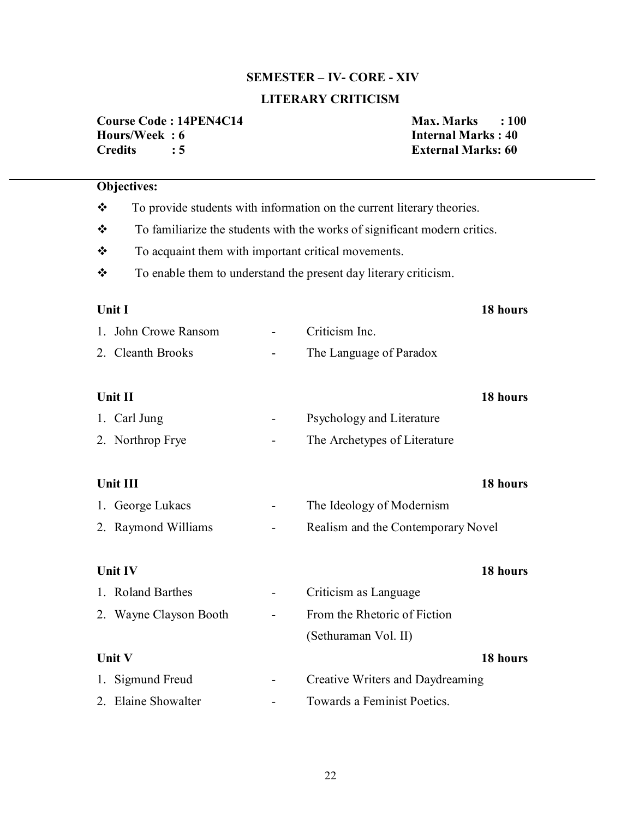# **SEMESTER – IV- CORE - XIV**

# **LITERARY CRITICISM**

|                | Course Code: 14PEN4C14 |
|----------------|------------------------|
| Hours/Week: 6  |                        |
| <b>Credits</b> | : 5                    |

**Course Code : 14PEN4C14 Max. Marks : 100 Internal Marks : 40 External Marks: 60** 

| <b>Objectives:</b>                                       |                                                                           |                                                                        |          |  |  |
|----------------------------------------------------------|---------------------------------------------------------------------------|------------------------------------------------------------------------|----------|--|--|
| $\frac{1}{2}$                                            |                                                                           | To provide students with information on the current literary theories. |          |  |  |
| ❖                                                        | To familiarize the students with the works of significant modern critics. |                                                                        |          |  |  |
| ❖<br>To acquaint them with important critical movements. |                                                                           |                                                                        |          |  |  |
| ❖                                                        |                                                                           | To enable them to understand the present day literary criticism.       |          |  |  |
|                                                          |                                                                           |                                                                        |          |  |  |
| <b>Unit I</b>                                            |                                                                           |                                                                        | 18 hours |  |  |
| 1. John Crowe Ransom                                     |                                                                           | Criticism Inc.                                                         |          |  |  |
| 2. Cleanth Brooks                                        |                                                                           | The Language of Paradox                                                |          |  |  |
|                                                          |                                                                           |                                                                        |          |  |  |
| Unit II                                                  |                                                                           |                                                                        | 18 hours |  |  |
| 1. Carl Jung                                             |                                                                           | Psychology and Literature                                              |          |  |  |
| 2. Northrop Frye                                         |                                                                           | The Archetypes of Literature                                           |          |  |  |
|                                                          |                                                                           |                                                                        |          |  |  |
| Unit III                                                 |                                                                           |                                                                        | 18 hours |  |  |
| 1. George Lukacs                                         |                                                                           | The Ideology of Modernism                                              |          |  |  |
| 2. Raymond Williams                                      |                                                                           | Realism and the Contemporary Novel                                     |          |  |  |
|                                                          |                                                                           |                                                                        |          |  |  |
| <b>Unit IV</b>                                           |                                                                           |                                                                        | 18 hours |  |  |
| 1. Roland Barthes                                        | $\qquad \qquad \blacksquare$                                              | Criticism as Language                                                  |          |  |  |
| 2. Wayne Clayson Booth                                   |                                                                           | From the Rhetoric of Fiction                                           |          |  |  |
|                                                          |                                                                           | (Sethuraman Vol. II)                                                   |          |  |  |
| Unit V<br>18 hours                                       |                                                                           |                                                                        |          |  |  |
| 1. Sigmund Freud                                         |                                                                           | Creative Writers and Daydreaming                                       |          |  |  |
| 2. Elaine Showalter                                      |                                                                           | Towards a Feminist Poetics.                                            |          |  |  |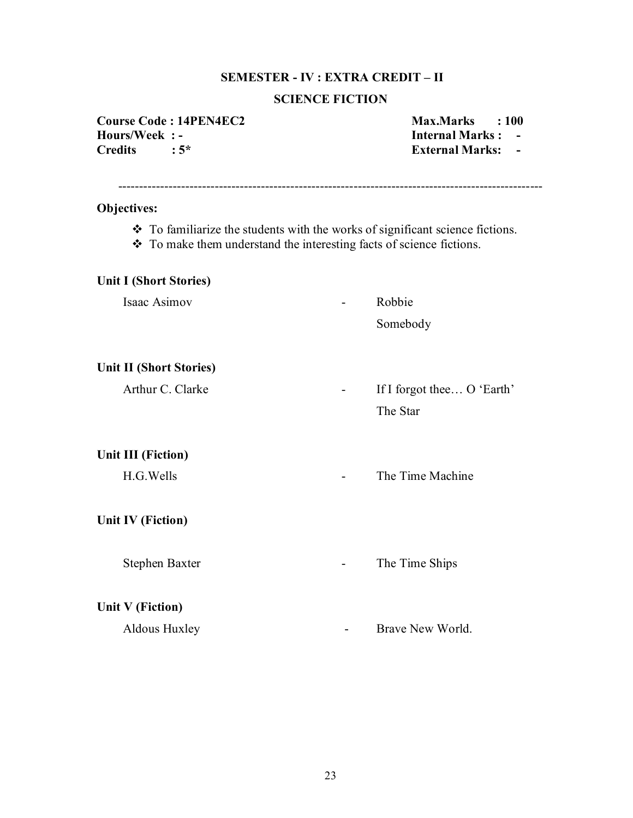# **SEMESTER - IV : EXTRA CREDIT – II**

# **SCIENCE FICTION**

**Course Code : 14PEN4EC2** Max.Marks : 100<br> **Hours/Week : - Max.Marks : 100 Hours/Week : - Internal Marks : -** 

**External Marks: -**

| <b>Objectives:</b>                                                                                                                                    |                            |  |  |  |  |  |
|-------------------------------------------------------------------------------------------------------------------------------------------------------|----------------------------|--|--|--|--|--|
| ❖ To familiarize the students with the works of significant science fictions.<br>❖ To make them understand the interesting facts of science fictions. |                            |  |  |  |  |  |
| <b>Unit I (Short Stories)</b>                                                                                                                         |                            |  |  |  |  |  |
| Isaac Asimov                                                                                                                                          | Robbie                     |  |  |  |  |  |
|                                                                                                                                                       | Somebody                   |  |  |  |  |  |
| <b>Unit II (Short Stories)</b>                                                                                                                        |                            |  |  |  |  |  |
| Arthur C. Clarke                                                                                                                                      | If I forgot thee O 'Earth' |  |  |  |  |  |
|                                                                                                                                                       | The Star                   |  |  |  |  |  |
| <b>Unit III (Fiction)</b>                                                                                                                             |                            |  |  |  |  |  |
| H.G. Wells                                                                                                                                            | The Time Machine           |  |  |  |  |  |
| <b>Unit IV (Fiction)</b>                                                                                                                              |                            |  |  |  |  |  |
| Stephen Baxter                                                                                                                                        | The Time Ships             |  |  |  |  |  |
| Unit V (Fiction)                                                                                                                                      |                            |  |  |  |  |  |
| Aldous Huxley                                                                                                                                         | Brave New World.           |  |  |  |  |  |